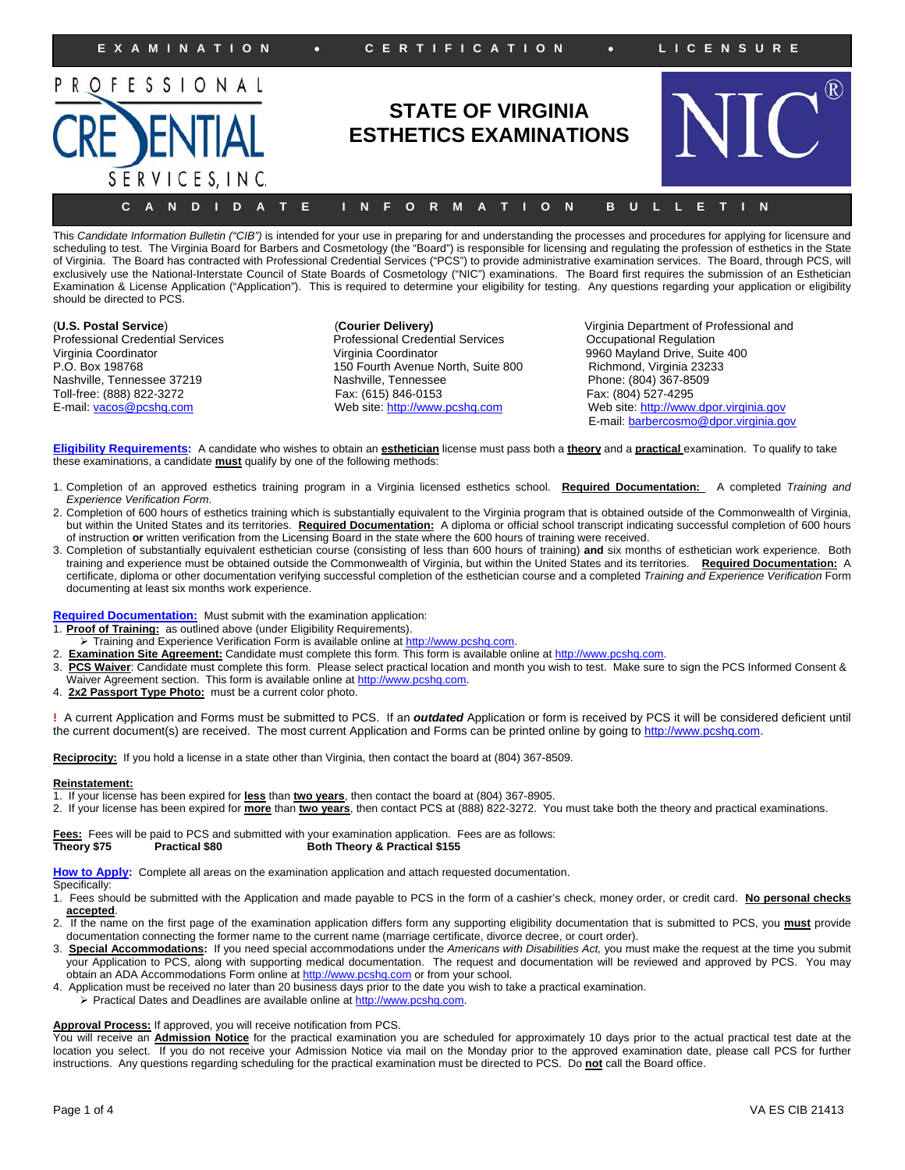

This Candidate Information Bulletin ("CIB") is intended for your use in preparing for and understanding the processes and procedures for applying for licensure and scheduling to test. The Virginia Board for Barbers and Cosmetology (the "Board") is responsible for licensing and regulating the profession of esthetics in the State of Virginia. The Board has contracted with Professional Credential Services ("PCS") to provide administrative examination services. The Board, through PCS, will exclusively use the National-Interstate Council of State Boards of Cosmetology ("NIC") examinations. The Board first requires the submission of an Esthetician Examination & License Application ("Application"). This is required to determine your eligibility for testing. Any questions regarding your application or eligibility should be directed to PCS.

Professional Credential Services Professional Credential Services<br>
Virginia Coordinator Coordinational Regulational Regulational Regulation Toll-free: (888) 822-3272

Virginia Coordinator Virginia Coordinator 9960 Mayland Drive, Suite 400 P.O. Box 198768 150 Fourth Avenue North, Suite 800 Richmond, Virginia 23233 Nashville, Tennessee 37219 Nashville, Tennessee Phone: (804) 367-8509

(**U.S. Postal Service**) (**Courier Delivery)** Virginia Department of Professional and E-mail: vacos@pcshq.com Web site: http://www.pcshq.com Web site: http://www.dpor.virginia.gov E-mail: barbercosmo@dpor.virginia.gov

**Eligibility Requirements:** A candidate who wishes to obtain an **esthetician** license must pass both a **theory** and a **practical** examination. To qualify to take these examinations, a candidate **must** qualify by one of the following methods:

- 1. Completion of an approved esthetics training program in a Virginia licensed esthetics school. **Required Documentation:** A completed *Training and Experience Verification Form*.
- 2. Completion of 600 hours of esthetics training which is substantially equivalent to the Virginia program that is obtained outside of the Commonwealth of Virginia, but within the United States and its territories. **Required Documentation:** A diploma or official school transcript indicating successful completion of 600 hours of instruction **or** written verification from the Licensing Board in the state where the 600 hours of training were received.
- 3. Completion of substantially equivalent esthetician course (consisting of less than 600 hours of training) **and** six months of esthetician work experience. Both training and experience must be obtained outside the Commonwealth of Virginia, but within the United States and its territories. **Required Documentation:** A certificate, diploma or other documentation verifying successful completion of the esthetician course and a completed *Training and Experience Verification* Form documenting at least six months work experience.

**Required Documentation:** Must submit with the examination application:

1. **Proof of Training:** as outlined above (under Eligibility Requirements).

- > Training and Experience Verification Form is available online at http://www.pcshq.com.
- Examination Site Agreement: Candidate must complete this form. This form is available online at http://www.pcshq.com.
- 3. **PCS Waiver**: Candidate must complete this form. Please select practical location and month you wish to test. Make sure to sign the PCS Informed Consent & Waiver Agreement section. This form is available online at http://www.pcshq.com.
- 4. **2x2 Passport Type Photo:** must be a current color photo.

**!** A current Application and Forms must be submitted to PCS. If an *outdated* Application or form is received by PCS it will be considered deficient until the current document(s) are received. The most current Application and Forms can be printed online by going to http://www.pcshq.com.

**Reciprocity:** If you hold a license in a state other than Virginia, then contact the board at (804) 367-8509.

#### **Reinstatement:**

1. If your license has been expired for **less** than **two years**, then contact the board at (804) 367-8905.

2. If your license has been expired for **more** than **two years**, then contact PCS at (888) 822-3272. You must take both the theory and practical examinations.

**Fees:** Fees will be paid to PCS and submitted with your examination application. Fees are as follows:<br>Theory \$75 **Practical \$80 Both Theory & Practical \$155 Both Theory & Practical \$155** 

**How to Apply:** Complete all areas on the examination application and attach requested documentation.

#### Specifically:

- 1. Fees should be submitted with the Application and made payable to PCS in the form of a cashier's check, money order, or credit card. **No personal checks accepted**.
- 2. If the name on the first page of the examination application differs form any supporting eligibility documentation that is submitted to PCS, you **must** provide documentation connecting the former name to the current name (marriage certificate, divorce decree, or court order).
- 3. **Special Accommodations:** If you need special accommodations under the *Americans with Disabilities Act,* you must make the request at the time you submit your Application to PCS, along with supporting medical documentation. The request and documentation will be reviewed and approved by PCS. You may obtain an ADA Accommodations Form online at http://www.pcshq.com or from your school.
- 4. Application must be received no later than 20 business days prior to the date you wish to take a practical examination.
	- Practical Dates and Deadlines are available online at http://www.pcshq.com.

#### **Approval Process:** If approved, you will receive notification from PCS.

You will receive an **Admission Notice** for the practical examination you are scheduled for approximately 10 days prior to the actual practical test date at the location you select. If you do not receive your Admission Notice via mail on the Monday prior to the approved examination date, please call PCS for further instructions. Any questions regarding scheduling for the practical examination must be directed to PCS. Do **not** call the Board office.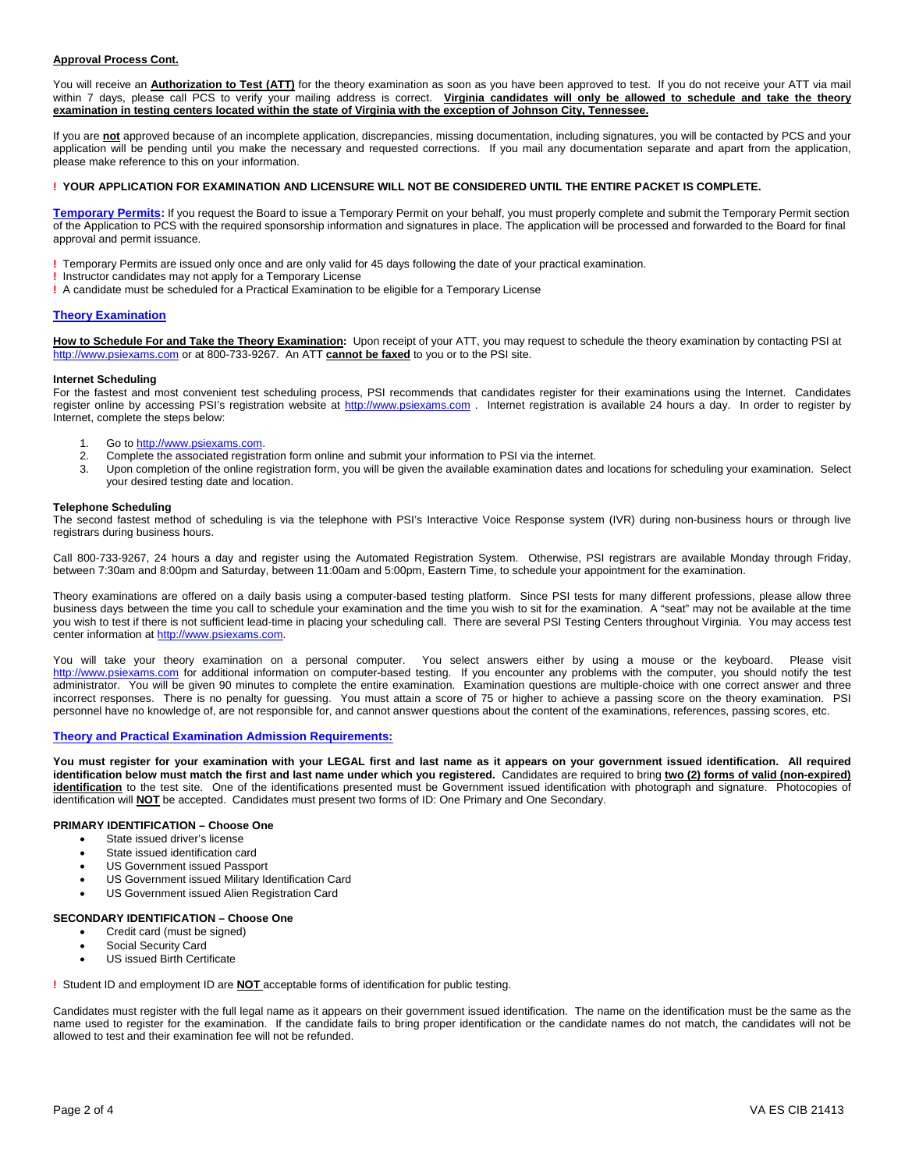### **Approval Process Cont.**

You will receive an **Authorization to Test (ATT)** for the theory examination as soon as you have been approved to test. If you do not receive your ATT via mail within 7 days, please call PCS to verify your mailing address is correct. Virginia candidates will only be allowed to schedule and take the theory **examination in testing centers located within the state of Virginia with the exception of Johnson City, Tennessee.**

If you are **not** approved because of an incomplete application, discrepancies, missing documentation, including signatures, you will be contacted by PCS and your application will be pending until you make the necessary and requested corrections. If you mail any documentation separate and apart from the application, please make reference to this on your information.

#### **! YOUR APPLICATION FOR EXAMINATION AND LICENSURE WILL NOT BE CONSIDERED UNTIL THE ENTIRE PACKET IS COMPLETE.**

**Temporary Permits:** If you request the Board to issue a Temporary Permit on your behalf, you must properly complete and submit the Temporary Permit section of the Application to PCS with the required sponsorship information and signatures in place. The application will be processed and forwarded to the Board for final approval and permit issuance.

**!** Temporary Permits are issued only once and are only valid for 45 days following the date of your practical examination.

- **!** Instructor candidates may not apply for a Temporary License
- **!** A candidate must be scheduled for a Practical Examination to be eligible for a Temporary License

#### **Theory Examination**

**How to Schedule For and Take the Theory Examination:** Upon receipt of your ATT, you may request to schedule the theory examination by contacting PSI at http://www.psiexams.com or at 800-733-9267. An ATT **cannot be faxed** to you or to the PSI site.

#### **Internet Scheduling**

For the fastest and most convenient test scheduling process, PSI recommends that candidates register for their examinations using the Internet. Candidates register online by accessing PSI's registration website at http://www.psiexams.com . Internet registration is available 24 hours a day. In order to register by Internet, complete the steps below:

- 1. Go to http://www.psiexams.com.
- 2. Complete the associated registration form online and submit your information to PSI via the internet.<br>3. Upon completion of the online registration form, you will be given the available examination dates an
- Upon completion of the online registration form, you will be given the available examination dates and locations for scheduling your examination. Select your desired testing date and location.

#### **Telephone Scheduling**

The second fastest method of scheduling is via the telephone with PSI's Interactive Voice Response system (IVR) during non-business hours or through live registrars during business hours.

Call 800-733-9267, 24 hours a day and register using the Automated Registration System. Otherwise, PSI registrars are available Monday through Friday, between 7:30am and 8:00pm and Saturday, between 11:00am and 5:00pm, Eastern Time, to schedule your appointment for the examination.

Theory examinations are offered on a daily basis using a computer-based testing platform. Since PSI tests for many different professions, please allow three business days between the time you call to schedule your examination and the time you wish to sit for the examination. A "seat" may not be available at the time you wish to test if there is not sufficient lead-time in placing your scheduling call. There are several PSI Testing Centers throughout Virginia. You may access test center information at http://www.psiexams.com.

You will take your theory examination on a personal computer. You select answers either by using a mouse or the keyboard. Please visit http://www.psiexams.com for additional information on computer-based testing. If you encounter any problems with the computer, you should notify the test administrator. You will be given 90 minutes to complete the entire examination. Examination questions are multiple-choice with one correct answer and three incorrect responses. There is no penalty for guessing. You must attain a score of 75 or higher to achieve a passing score on the theory examination. PSI personnel have no knowledge of, are not responsible for, and cannot answer questions about the content of the examinations, references, passing scores, etc.

#### **Theory and Practical Examination Admission Requirements:**

**You must register for your examination with your LEGAL first and last name as it appears on your government issued identification. All required**  identification below must match the first and last name under which you registered. Candidates are required to bring *two (2) forms of valid (non-expired)* identification to the test site. One of the identifications presented must be Government issued identification with photograph and signature. Photocopies of identification will **NOT** be accepted. Candidates must present two forms of ID: One Primary and One Secondary.

#### **PRIMARY IDENTIFICATION – Choose One**

- State issued driver's license
- State issued identification card
- US Government issued Passport
- US Government issued Military Identification Card
- US Government issued Alien Registration Card

#### **SECONDARY IDENTIFICATION – Choose One**

- Credit card (must be signed)
- Social Security Card
- US issued Birth Certificate

**!** Student ID and employment ID are **NOT** acceptable forms of identification for public testing.

Candidates must register with the full legal name as it appears on their government issued identification. The name on the identification must be the same as the name used to register for the examination. If the candidate fails to bring proper identification or the candidate names do not match, the candidates will not be allowed to test and their examination fee will not be refunded.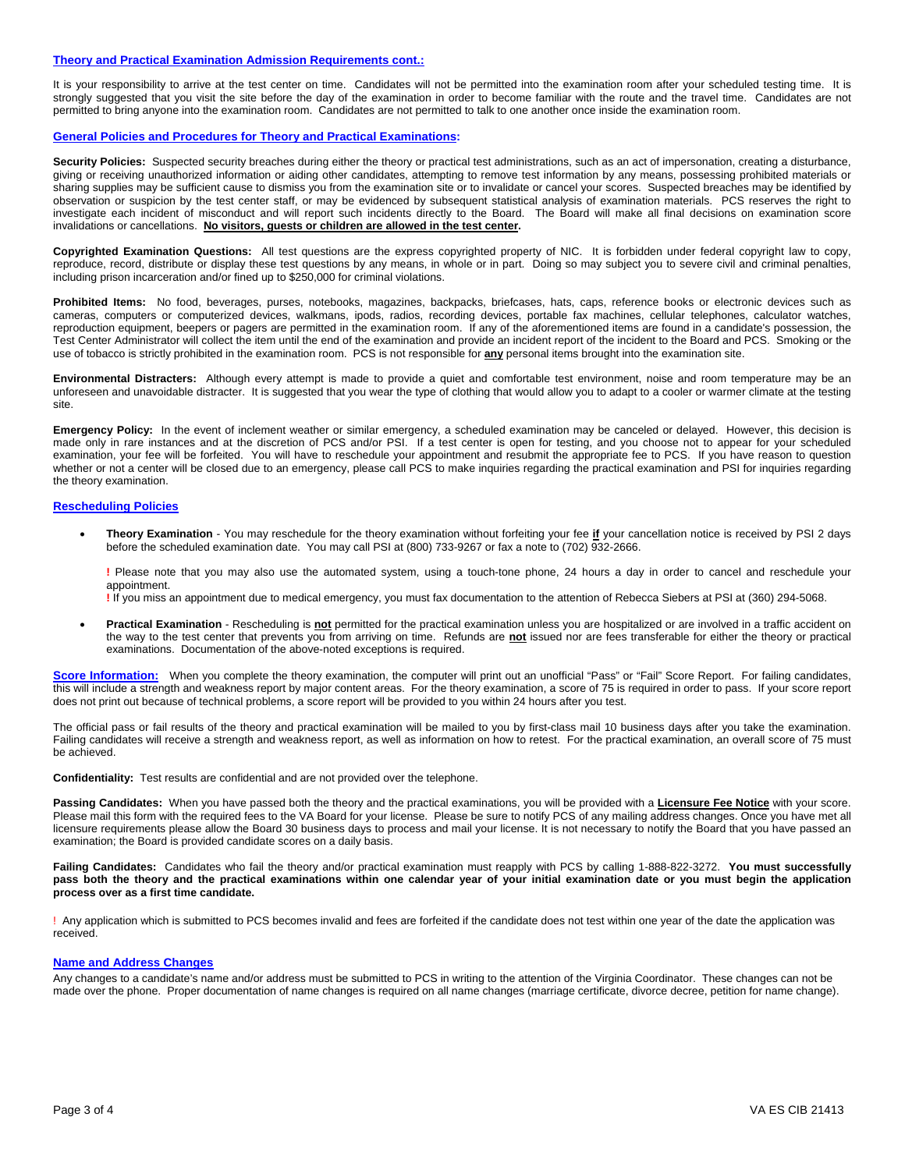#### **Theory and Practical Examination Admission Requirements cont.:**

It is your responsibility to arrive at the test center on time. Candidates will not be permitted into the examination room after your scheduled testing time. It is strongly suggested that you visit the site before the day of the examination in order to become familiar with the route and the travel time. Candidates are not permitted to bring anyone into the examination room. Candidates are not permitted to talk to one another once inside the examination room.

#### **General Policies and Procedures for Theory and Practical Examinations:**

Security Policies: Suspected security breaches during either the theory or practical test administrations, such as an act of impersonation, creating a disturbance, giving or receiving unauthorized information or aiding other candidates, attempting to remove test information by any means, possessing prohibited materials or sharing supplies may be sufficient cause to dismiss you from the examination site or to invalidate or cancel your scores. Suspected breaches may be identified by observation or suspicion by the test center staff, or may be evidenced by subsequent statistical analysis of examination materials. PCS reserves the right to investigate each incident of misconduct and will report such incidents directly to the Board. The Board will make all final decisions on examination score invalidations or cancellations. **No visitors, guests or children are allowed in the test center.**

**Copyrighted Examination Questions:** All test questions are the express copyrighted property of NIC. It is forbidden under federal copyright law to copy, reproduce, record, distribute or display these test questions by any means, in whole or in part. Doing so may subject you to severe civil and criminal penalties, including prison incarceration and/or fined up to \$250,000 for criminal violations.

**Prohibited Items:** No food, beverages, purses, notebooks, magazines, backpacks, briefcases, hats, caps, reference books or electronic devices such as cameras, computers or computerized devices, walkmans, ipods, radios, recording devices, portable fax machines, cellular telephones, calculator watches, reproduction equipment, beepers or pagers are permitted in the examination room. If any of the aforementioned items are found in a candidate's possession, the Test Center Administrator will collect the item until the end of the examination and provide an incident report of the incident to the Board and PCS. Smoking or the use of tobacco is strictly prohibited in the examination room. PCS is not responsible for **any** personal items brought into the examination site.

**Environmental Distracters:** Although every attempt is made to provide a quiet and comfortable test environment, noise and room temperature may be an unforeseen and unavoidable distracter. It is suggested that you wear the type of clothing that would allow you to adapt to a cooler or warmer climate at the testing site.

**Emergency Policy:** In the event of inclement weather or similar emergency, a scheduled examination may be canceled or delayed. However, this decision is made only in rare instances and at the discretion of PCS and/or PSI. If a test center is open for testing, and you choose not to appear for your scheduled made only in rare instances and at the discretion of PCS and/or PSI examination, your fee will be forfeited. You will have to reschedule your appointment and resubmit the appropriate fee to PCS. If you have reason to question whether or not a center will be closed due to an emergency, please call PCS to make inquiries regarding the practical examination and PSI for inquiries regarding the theory examination.

#### **Rescheduling Policies**

 **Theory Examination** - You may reschedule for the theory examination without forfeiting your fee **if** your cancellation notice is received by PSI 2 days before the scheduled examination date. You may call PSI at (800) 733-9267 or fax a note to (702) 932-2666.

**!** Please note that you may also use the automated system, using a touch-tone phone, 24 hours a day in order to cancel and reschedule your appointment.

**!** If you miss an appointment due to medical emergency, you must fax documentation to the attention of Rebecca Siebers at PSI at (360) 294-5068.

 **Practical Examination** - Rescheduling is **not** permitted for the practical examination unless you are hospitalized or are involved in a traffic accident on the way to the test center that prevents you from arriving on time. Refunds are **not** issued nor are fees transferable for either the theory or practical examinations. Documentation of the above-noted exceptions is required.

Score Information: When you complete the theory examination, the computer will print out an unofficial "Pass" or "Fail" Score Report. For failing candidates, this will include a strength and weakness report by major content areas. For the theory examination, a score of 75 is required in order to pass. If your score report does not print out because of technical problems, a score report will be provided to you within 24 hours after you test.

The official pass or fail results of the theory and practical examination will be mailed to you by first-class mail 10 business days after you take the examination. Failing candidates will receive a strength and weakness report, as well as information on how to retest. For the practical examination, an overall score of 75 must be achieved.

**Confidentiality:** Test results are confidential and are not provided over the telephone.

**Passing Candidates:** When you have passed both the theory and the practical examinations, you will be provided with a **Licensure Fee Notice** with your score. Please mail this form with the required fees to the VA Board for your license. Please be sure to notify PCS of any mailing address changes. Once you have met all licensure requirements please allow the Board 30 business days to process and mail your license. It is not necessary to notify the Board that you have passed an examination; the Board is provided candidate scores on a daily basis.

**Failing Candidates:** Candidates who fail the theory and/or practical examination must reapply with PCS by calling 1-888-822-3272. **You must successfully pass both the theory and the practical examinations within one calendar year of your initial examination date or you must begin the application process over as a first time candidate.**

! Any application which is submitted to PCS becomes invalid and fees are forfeited if the candidate does not test within one year of the date the application was received.

#### **Name and Address Changes**

Any changes to a candidate's name and/or address must be submitted to PCS in writing to the attention of the Virginia Coordinator. These changes can not be made over the phone. Proper documentation of name changes is required on all name changes (marriage certificate, divorce decree, petition for name change).